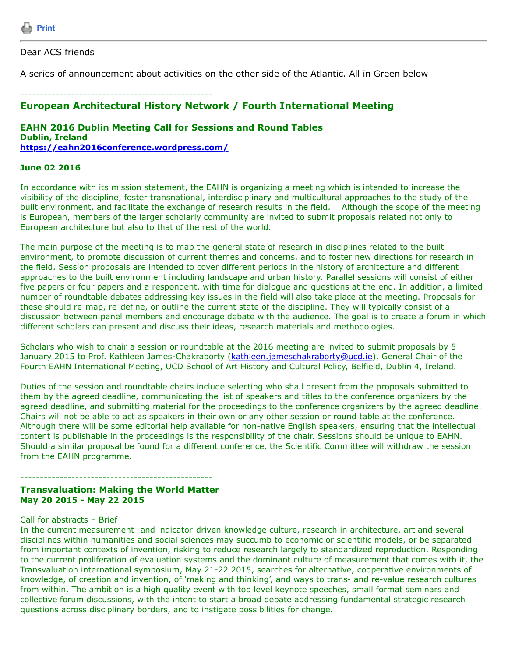Dear ACS friends

A series of announcement about activities on the other side of the Atlantic. All in Green below

# ------------------------------------------------- **European Architectural History Network / Fourth International Meeting**

### **EAHN 2016 Dublin Meeting Call for Sessions and Round Tables Dublin, Ireland <https://eahn2016conference.wordpress.com/>**

### **June 02 2016**

In accordance with its mission statement, the EAHN is organizing a meeting which is intended to increase the visibility of the discipline, foster transnational, interdisciplinary and multicultural approaches to the study of the built environment, and facilitate the exchange of research results in the field. Although the scope of the meeting is European, members of the larger scholarly community are invited to submit proposals related not only to European architecture but also to that of the rest of the world.

The main purpose of the meeting is to map the general state of research in disciplines related to the built environment, to promote discussion of current themes and concerns, and to foster new directions for research in the field. Session proposals are intended to cover different periods in the history of architecture and different approaches to the built environment including landscape and urban history. Parallel sessions will consist of either five papers or four papers and a respondent, with time for dialogue and questions at the end. In addition, a limited number of roundtable debates addressing key issues in the field will also take place at the meeting. Proposals for these should re-map, re-define, or outline the current state of the discipline. They will typically consist of a discussion between panel members and encourage debate with the audience. The goal is to create a forum in which different scholars can present and discuss their ideas, research materials and methodologies.

Scholars who wish to chair a session or roundtable at the 2016 meeting are invited to submit proposals by 5 January 2015 to Prof. Kathleen James-Chakraborty ([kathleen.jameschakraborty@ucd.ie\)](https://listserv.tamu.edu/cgi-bin/kathleen.jameschakraborty@ucd.ie), General Chair of the Fourth EAHN International Meeting, UCD School of Art History and Cultural Policy, Belfield, Dublin 4, Ireland.

Duties of the session and roundtable chairs include selecting who shall present from the proposals submitted to them by the agreed deadline, communicating the list of speakers and titles to the conference organizers by the agreed deadline, and submitting material for the proceedings to the conference organizers by the agreed deadline. Chairs will not be able to act as speakers in their own or any other session or round table at the conference. Although there will be some editorial help available for non-native English speakers, ensuring that the intellectual content is publishable in the proceedings is the responsibility of the chair. Sessions should be unique to EAHN. Should a similar proposal be found for a different conference, the Scientific Committee will withdraw the session from the EAHN programme.

### **Transvaluation: Making the World Matter May 20 2015 - May 22 2015**

#### Call for abstracts – Brief

In the current measurement- and indicator-driven knowledge culture, research in architecture, art and several disciplines within humanities and social sciences may succumb to economic or scientific models, or be separated from important contexts of invention, risking to reduce research largely to standardized reproduction. Responding to the current proliferation of evaluation systems and the dominant culture of measurement that comes with it, the Transvaluation international symposium, May 21-22 2015, searches for alternative, cooperative environments of knowledge, of creation and invention, of 'making and thinking', and ways to trans- and re-value research cultures from within. The ambition is a high quality event with top level keynote speeches, small format seminars and collective forum discussions, with the intent to start a broad debate addressing fundamental strategic research questions across disciplinary borders, and to instigate possibilities for change.